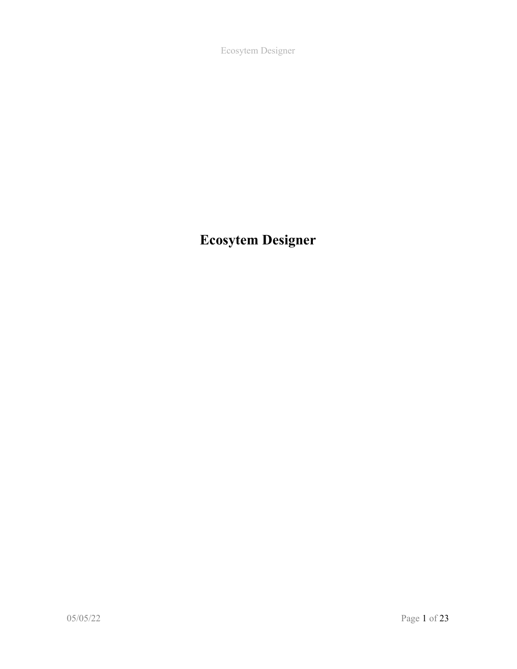Ecosytem Designer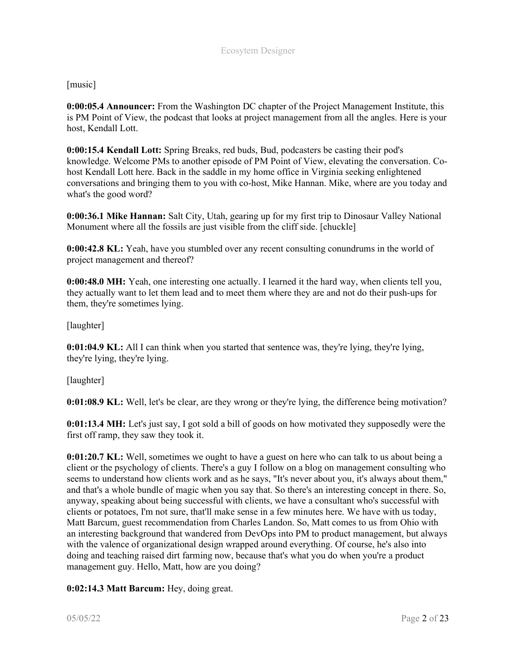[music]

0:00:05.4 Announcer: From the Washington DC chapter of the Project Management Institute, this is PM Point of View, the podcast that looks at project management from all the angles. Here is your host, Kendall Lott.

0:00:15.4 Kendall Lott: Spring Breaks, red buds, Bud, podcasters be casting their pod's knowledge. Welcome PMs to another episode of PM Point of View, elevating the conversation. Cohost Kendall Lott here. Back in the saddle in my home office in Virginia seeking enlightened conversations and bringing them to you with co-host, Mike Hannan. Mike, where are you today and what's the good word?

0:00:36.1 Mike Hannan: Salt City, Utah, gearing up for my first trip to Dinosaur Valley National Monument where all the fossils are just visible from the cliff side. [chuckle]

**0:00:42.8 KL:** Yeah, have you stumbled over any recent consulting conundrums in the world of project management and thereof?

0:00:48.0 MH: Yeah, one interesting one actually. I learned it the hard way, when clients tell you, they actually want to let them lead and to meet them where they are and not do their push-ups for them, they're sometimes lying.

[laughter]

0:01:04.9 KL: All I can think when you started that sentence was, they're lying, they're lying, they're lying, they're lying.

[laughter]

0:01:08.9 KL: Well, let's be clear, are they wrong or they're lying, the difference being motivation?

0:01:13.4 MH: Let's just say, I got sold a bill of goods on how motivated they supposedly were the first off ramp, they saw they took it.

0:01:20.7 KL: Well, sometimes we ought to have a guest on here who can talk to us about being a client or the psychology of clients. There's a guy I follow on a blog on management consulting who seems to understand how clients work and as he says, "It's never about you, it's always about them," and that's a whole bundle of magic when you say that. So there's an interesting concept in there. So, anyway, speaking about being successful with clients, we have a consultant who's successful with clients or potatoes, I'm not sure, that'll make sense in a few minutes here. We have with us today, Matt Barcum, guest recommendation from Charles Landon. So, Matt comes to us from Ohio with an interesting background that wandered from DevOps into PM to product management, but always with the valence of organizational design wrapped around everything. Of course, he's also into doing and teaching raised dirt farming now, because that's what you do when you're a product management guy. Hello, Matt, how are you doing?

0:02:14.3 Matt Barcum: Hey, doing great.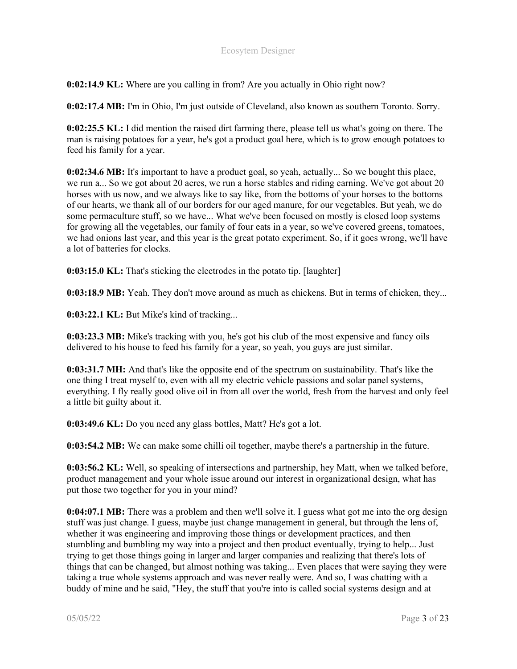0:02:14.9 KL: Where are you calling in from? Are you actually in Ohio right now?

0:02:17.4 MB: I'm in Ohio, I'm just outside of Cleveland, also known as southern Toronto. Sorry.

0:02:25.5 KL: I did mention the raised dirt farming there, please tell us what's going on there. The man is raising potatoes for a year, he's got a product goal here, which is to grow enough potatoes to feed his family for a year.

0:02:34.6 MB: It's important to have a product goal, so yeah, actually... So we bought this place, we run a... So we got about 20 acres, we run a horse stables and riding earning. We've got about 20 horses with us now, and we always like to say like, from the bottoms of your horses to the bottoms of our hearts, we thank all of our borders for our aged manure, for our vegetables. But yeah, we do some permaculture stuff, so we have... What we've been focused on mostly is closed loop systems for growing all the vegetables, our family of four eats in a year, so we've covered greens, tomatoes, we had onions last year, and this year is the great potato experiment. So, if it goes wrong, we'll have a lot of batteries for clocks.

0:03:15.0 KL: That's sticking the electrodes in the potato tip. [laughter]

0:03:18.9 MB: Yeah. They don't move around as much as chickens. But in terms of chicken, they...

0:03:22.1 KL: But Mike's kind of tracking...

0:03:23.3 MB: Mike's tracking with you, he's got his club of the most expensive and fancy oils delivered to his house to feed his family for a year, so yeah, you guys are just similar.

0:03:31.7 MH: And that's like the opposite end of the spectrum on sustainability. That's like the one thing I treat myself to, even with all my electric vehicle passions and solar panel systems, everything. I fly really good olive oil in from all over the world, fresh from the harvest and only feel a little bit guilty about it.

0:03:49.6 KL: Do you need any glass bottles, Matt? He's got a lot.

0:03:54.2 MB: We can make some chilli oil together, maybe there's a partnership in the future.

0:03:56.2 KL: Well, so speaking of intersections and partnership, hey Matt, when we talked before, product management and your whole issue around our interest in organizational design, what has put those two together for you in your mind?

0:04:07.1 MB: There was a problem and then we'll solve it. I guess what got me into the org design stuff was just change. I guess, maybe just change management in general, but through the lens of, whether it was engineering and improving those things or development practices, and then stumbling and bumbling my way into a project and then product eventually, trying to help... Just trying to get those things going in larger and larger companies and realizing that there's lots of things that can be changed, but almost nothing was taking... Even places that were saying they were taking a true whole systems approach and was never really were. And so, I was chatting with a buddy of mine and he said, "Hey, the stuff that you're into is called social systems design and at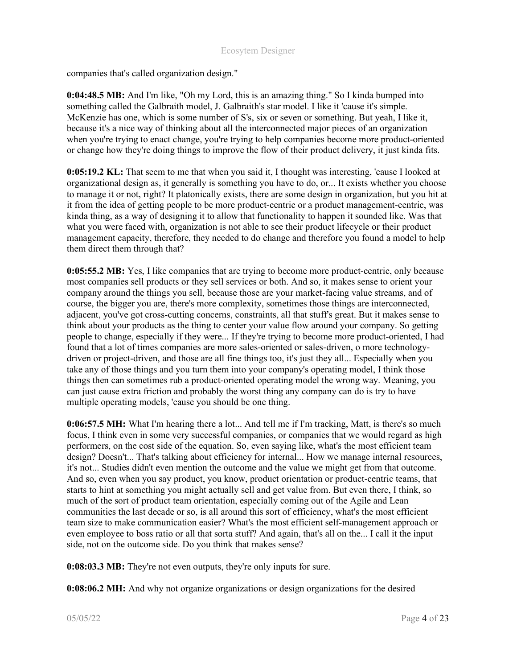companies that's called organization design."

0:04:48.5 MB: And I'm like, "Oh my Lord, this is an amazing thing." So I kinda bumped into something called the Galbraith model, J. Galbraith's star model. I like it 'cause it's simple. McKenzie has one, which is some number of S's, six or seven or something. But yeah, I like it, because it's a nice way of thinking about all the interconnected major pieces of an organization when you're trying to enact change, you're trying to help companies become more product-oriented or change how they're doing things to improve the flow of their product delivery, it just kinda fits.

0:05:19.2 KL: That seem to me that when you said it, I thought was interesting, 'cause I looked at organizational design as, it generally is something you have to do, or... It exists whether you choose to manage it or not, right? It platonically exists, there are some design in organization, but you hit at it from the idea of getting people to be more product-centric or a product management-centric, was kinda thing, as a way of designing it to allow that functionality to happen it sounded like. Was that what you were faced with, organization is not able to see their product lifecycle or their product management capacity, therefore, they needed to do change and therefore you found a model to help them direct them through that?

0:05:55.2 MB: Yes, I like companies that are trying to become more product-centric, only because most companies sell products or they sell services or both. And so, it makes sense to orient your company around the things you sell, because those are your market-facing value streams, and of course, the bigger you are, there's more complexity, sometimes those things are interconnected, adjacent, you've got cross-cutting concerns, constraints, all that stuff's great. But it makes sense to think about your products as the thing to center your value flow around your company. So getting people to change, especially if they were... If they're trying to become more product-oriented, I had found that a lot of times companies are more sales-oriented or sales-driven, o more technologydriven or project-driven, and those are all fine things too, it's just they all... Especially when you take any of those things and you turn them into your company's operating model, I think those things then can sometimes rub a product-oriented operating model the wrong way. Meaning, you can just cause extra friction and probably the worst thing any company can do is try to have multiple operating models, 'cause you should be one thing.

0:06:57.5 MH: What I'm hearing there a lot... And tell me if I'm tracking, Matt, is there's so much focus, I think even in some very successful companies, or companies that we would regard as high performers, on the cost side of the equation. So, even saying like, what's the most efficient team design? Doesn't... That's talking about efficiency for internal... How we manage internal resources, it's not... Studies didn't even mention the outcome and the value we might get from that outcome. And so, even when you say product, you know, product orientation or product-centric teams, that starts to hint at something you might actually sell and get value from. But even there, I think, so much of the sort of product team orientation, especially coming out of the Agile and Lean communities the last decade or so, is all around this sort of efficiency, what's the most efficient team size to make communication easier? What's the most efficient self-management approach or even employee to boss ratio or all that sorta stuff? And again, that's all on the... I call it the input side, not on the outcome side. Do you think that makes sense?

0:08:03.3 MB: They're not even outputs, they're only inputs for sure.

0:08:06.2 MH: And why not organize organizations or design organizations for the desired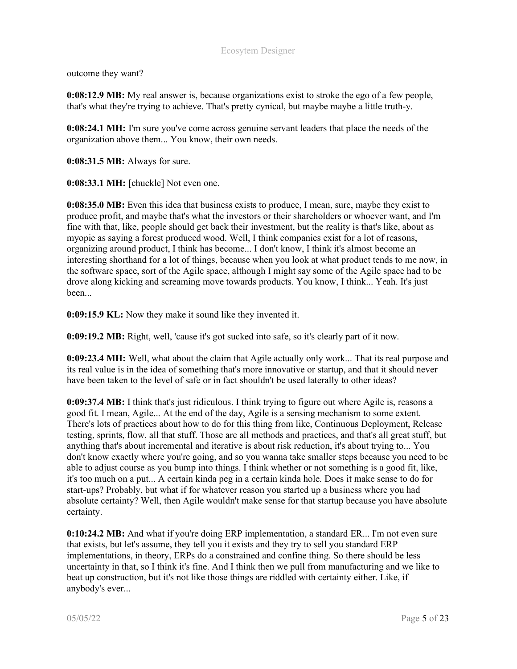outcome they want?

0:08:12.9 MB: My real answer is, because organizations exist to stroke the ego of a few people, that's what they're trying to achieve. That's pretty cynical, but maybe maybe a little truth-y.

0:08:24.1 MH: I'm sure you've come across genuine servant leaders that place the needs of the organization above them... You know, their own needs.

0:08:31.5 MB: Always for sure.

0:08:33.1 MH: [chuckle] Not even one.

0:08:35.0 MB: Even this idea that business exists to produce, I mean, sure, maybe they exist to produce profit, and maybe that's what the investors or their shareholders or whoever want, and I'm fine with that, like, people should get back their investment, but the reality is that's like, about as myopic as saying a forest produced wood. Well, I think companies exist for a lot of reasons, organizing around product, I think has become... I don't know, I think it's almost become an interesting shorthand for a lot of things, because when you look at what product tends to me now, in the software space, sort of the Agile space, although I might say some of the Agile space had to be drove along kicking and screaming move towards products. You know, I think... Yeah. It's just been...

0:09:15.9 KL: Now they make it sound like they invented it.

0:09:19.2 MB: Right, well, 'cause it's got sucked into safe, so it's clearly part of it now.

0:09:23.4 MH: Well, what about the claim that Agile actually only work... That its real purpose and its real value is in the idea of something that's more innovative or startup, and that it should never have been taken to the level of safe or in fact shouldn't be used laterally to other ideas?

0:09:37.4 MB: I think that's just ridiculous. I think trying to figure out where Agile is, reasons a good fit. I mean, Agile... At the end of the day, Agile is a sensing mechanism to some extent. There's lots of practices about how to do for this thing from like, Continuous Deployment, Release testing, sprints, flow, all that stuff. Those are all methods and practices, and that's all great stuff, but anything that's about incremental and iterative is about risk reduction, it's about trying to... You don't know exactly where you're going, and so you wanna take smaller steps because you need to be able to adjust course as you bump into things. I think whether or not something is a good fit, like, it's too much on a put... A certain kinda peg in a certain kinda hole. Does it make sense to do for start-ups? Probably, but what if for whatever reason you started up a business where you had absolute certainty? Well, then Agile wouldn't make sense for that startup because you have absolute certainty.

0:10:24.2 MB: And what if you're doing ERP implementation, a standard ER... I'm not even sure that exists, but let's assume, they tell you it exists and they try to sell you standard ERP implementations, in theory, ERPs do a constrained and confine thing. So there should be less uncertainty in that, so I think it's fine. And I think then we pull from manufacturing and we like to beat up construction, but it's not like those things are riddled with certainty either. Like, if anybody's ever...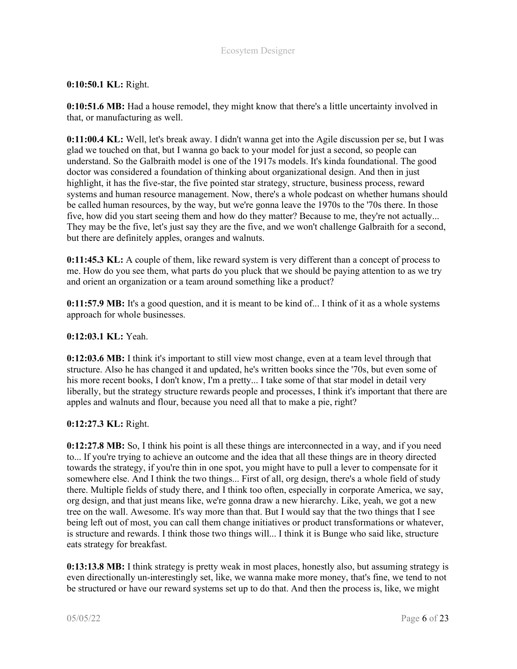# 0:10:50.1 KL: Right.

0:10:51.6 MB: Had a house remodel, they might know that there's a little uncertainty involved in that, or manufacturing as well.

0:11:00.4 KL: Well, let's break away. I didn't wanna get into the Agile discussion per se, but I was glad we touched on that, but I wanna go back to your model for just a second, so people can understand. So the Galbraith model is one of the 1917s models. It's kinda foundational. The good doctor was considered a foundation of thinking about organizational design. And then in just highlight, it has the five-star, the five pointed star strategy, structure, business process, reward systems and human resource management. Now, there's a whole podcast on whether humans should be called human resources, by the way, but we're gonna leave the 1970s to the '70s there. In those five, how did you start seeing them and how do they matter? Because to me, they're not actually... They may be the five, let's just say they are the five, and we won't challenge Galbraith for a second, but there are definitely apples, oranges and walnuts.

0:11:45.3 KL: A couple of them, like reward system is very different than a concept of process to me. How do you see them, what parts do you pluck that we should be paying attention to as we try and orient an organization or a team around something like a product?

0:11:57.9 MB: It's a good question, and it is meant to be kind of... I think of it as a whole systems approach for whole businesses.

#### 0:12:03.1 KL: Yeah.

0:12:03.6 MB: I think it's important to still view most change, even at a team level through that structure. Also he has changed it and updated, he's written books since the '70s, but even some of his more recent books, I don't know, I'm a pretty... I take some of that star model in detail very liberally, but the strategy structure rewards people and processes, I think it's important that there are apples and walnuts and flour, because you need all that to make a pie, right?

#### 0:12:27.3 KL: Right.

0:12:27.8 MB: So, I think his point is all these things are interconnected in a way, and if you need to... If you're trying to achieve an outcome and the idea that all these things are in theory directed towards the strategy, if you're thin in one spot, you might have to pull a lever to compensate for it somewhere else. And I think the two things... First of all, org design, there's a whole field of study there. Multiple fields of study there, and I think too often, especially in corporate America, we say, org design, and that just means like, we're gonna draw a new hierarchy. Like, yeah, we got a new tree on the wall. Awesome. It's way more than that. But I would say that the two things that I see being left out of most, you can call them change initiatives or product transformations or whatever, is structure and rewards. I think those two things will... I think it is Bunge who said like, structure eats strategy for breakfast.

0:13:13.8 MB: I think strategy is pretty weak in most places, honestly also, but assuming strategy is even directionally un-interestingly set, like, we wanna make more money, that's fine, we tend to not be structured or have our reward systems set up to do that. And then the process is, like, we might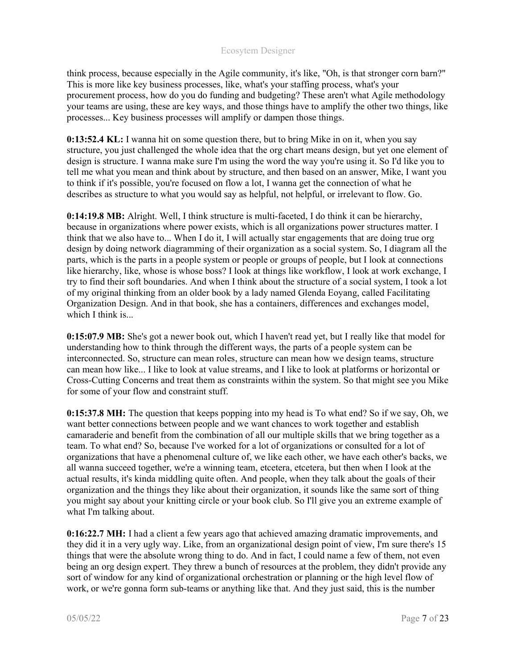think process, because especially in the Agile community, it's like, "Oh, is that stronger corn barn?" This is more like key business processes, like, what's your staffing process, what's your procurement process, how do you do funding and budgeting? These aren't what Agile methodology your teams are using, these are key ways, and those things have to amplify the other two things, like processes... Key business processes will amplify or dampen those things.

0:13:52.4 KL: I wanna hit on some question there, but to bring Mike in on it, when you say structure, you just challenged the whole idea that the org chart means design, but yet one element of design is structure. I wanna make sure I'm using the word the way you're using it. So I'd like you to tell me what you mean and think about by structure, and then based on an answer, Mike, I want you to think if it's possible, you're focused on flow a lot, I wanna get the connection of what he describes as structure to what you would say as helpful, not helpful, or irrelevant to flow. Go.

0:14:19.8 MB: Alright. Well, I think structure is multi-faceted, I do think it can be hierarchy, because in organizations where power exists, which is all organizations power structures matter. I think that we also have to... When I do it, I will actually star engagements that are doing true org design by doing network diagramming of their organization as a social system. So, I diagram all the parts, which is the parts in a people system or people or groups of people, but I look at connections like hierarchy, like, whose is whose boss? I look at things like workflow, I look at work exchange, I try to find their soft boundaries. And when I think about the structure of a social system, I took a lot of my original thinking from an older book by a lady named Glenda Eoyang, called Facilitating Organization Design. And in that book, she has a containers, differences and exchanges model, which I think is...

0:15:07.9 MB: She's got a newer book out, which I haven't read yet, but I really like that model for understanding how to think through the different ways, the parts of a people system can be interconnected. So, structure can mean roles, structure can mean how we design teams, structure can mean how like... I like to look at value streams, and I like to look at platforms or horizontal or Cross-Cutting Concerns and treat them as constraints within the system. So that might see you Mike for some of your flow and constraint stuff.

0:15:37.8 MH: The question that keeps popping into my head is To what end? So if we say, Oh, we want better connections between people and we want chances to work together and establish camaraderie and benefit from the combination of all our multiple skills that we bring together as a team. To what end? So, because I've worked for a lot of organizations or consulted for a lot of organizations that have a phenomenal culture of, we like each other, we have each other's backs, we all wanna succeed together, we're a winning team, etcetera, etcetera, but then when I look at the actual results, it's kinda middling quite often. And people, when they talk about the goals of their organization and the things they like about their organization, it sounds like the same sort of thing you might say about your knitting circle or your book club. So I'll give you an extreme example of what I'm talking about.

0:16:22.7 MH: I had a client a few years ago that achieved amazing dramatic improvements, and they did it in a very ugly way. Like, from an organizational design point of view, I'm sure there's 15 things that were the absolute wrong thing to do. And in fact, I could name a few of them, not even being an org design expert. They threw a bunch of resources at the problem, they didn't provide any sort of window for any kind of organizational orchestration or planning or the high level flow of work, or we're gonna form sub-teams or anything like that. And they just said, this is the number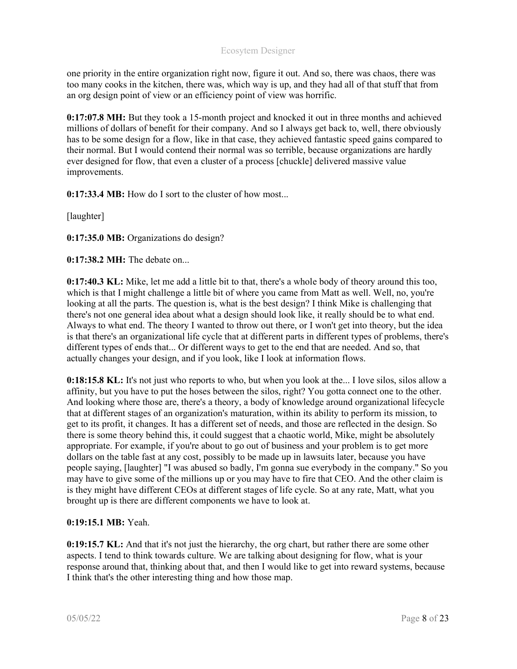one priority in the entire organization right now, figure it out. And so, there was chaos, there was too many cooks in the kitchen, there was, which way is up, and they had all of that stuff that from an org design point of view or an efficiency point of view was horrific.

0:17:07.8 MH: But they took a 15-month project and knocked it out in three months and achieved millions of dollars of benefit for their company. And so I always get back to, well, there obviously has to be some design for a flow, like in that case, they achieved fantastic speed gains compared to their normal. But I would contend their normal was so terrible, because organizations are hardly ever designed for flow, that even a cluster of a process [chuckle] delivered massive value improvements.

0:17:33.4 MB: How do I sort to the cluster of how most...

[laughter]

0:17:35.0 MB: Organizations do design?

0:17:38.2 MH: The debate on...

0:17:40.3 KL: Mike, let me add a little bit to that, there's a whole body of theory around this too, which is that I might challenge a little bit of where you came from Matt as well. Well, no, you're looking at all the parts. The question is, what is the best design? I think Mike is challenging that there's not one general idea about what a design should look like, it really should be to what end. Always to what end. The theory I wanted to throw out there, or I won't get into theory, but the idea is that there's an organizational life cycle that at different parts in different types of problems, there's different types of ends that... Or different ways to get to the end that are needed. And so, that actually changes your design, and if you look, like I look at information flows.

0:18:15.8 KL: It's not just who reports to who, but when you look at the... I love silos, silos allow a affinity, but you have to put the hoses between the silos, right? You gotta connect one to the other. And looking where those are, there's a theory, a body of knowledge around organizational lifecycle that at different stages of an organization's maturation, within its ability to perform its mission, to get to its profit, it changes. It has a different set of needs, and those are reflected in the design. So there is some theory behind this, it could suggest that a chaotic world, Mike, might be absolutely appropriate. For example, if you're about to go out of business and your problem is to get more dollars on the table fast at any cost, possibly to be made up in lawsuits later, because you have people saying, [laughter] "I was abused so badly, I'm gonna sue everybody in the company." So you may have to give some of the millions up or you may have to fire that CEO. And the other claim is is they might have different CEOs at different stages of life cycle. So at any rate, Matt, what you brought up is there are different components we have to look at.

# 0:19:15.1 MB: Yeah.

0:19:15.7 KL: And that it's not just the hierarchy, the org chart, but rather there are some other aspects. I tend to think towards culture. We are talking about designing for flow, what is your response around that, thinking about that, and then I would like to get into reward systems, because I think that's the other interesting thing and how those map.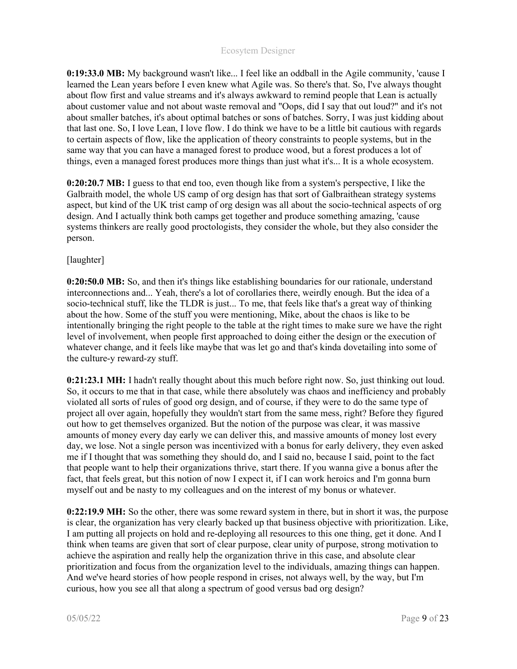0:19:33.0 MB: My background wasn't like... I feel like an oddball in the Agile community, 'cause I learned the Lean years before I even knew what Agile was. So there's that. So, I've always thought about flow first and value streams and it's always awkward to remind people that Lean is actually about customer value and not about waste removal and "Oops, did I say that out loud?" and it's not about smaller batches, it's about optimal batches or sons of batches. Sorry, I was just kidding about that last one. So, I love Lean, I love flow. I do think we have to be a little bit cautious with regards to certain aspects of flow, like the application of theory constraints to people systems, but in the same way that you can have a managed forest to produce wood, but a forest produces a lot of things, even a managed forest produces more things than just what it's... It is a whole ecosystem.

0:20:20.7 MB: I guess to that end too, even though like from a system's perspective, I like the Galbraith model, the whole US camp of org design has that sort of Galbraithean strategy systems aspect, but kind of the UK trist camp of org design was all about the socio-technical aspects of org design. And I actually think both camps get together and produce something amazing, 'cause systems thinkers are really good proctologists, they consider the whole, but they also consider the person.

## [laughter]

0:20:50.0 MB: So, and then it's things like establishing boundaries for our rationale, understand interconnections and... Yeah, there's a lot of corollaries there, weirdly enough. But the idea of a socio-technical stuff, like the TLDR is just... To me, that feels like that's a great way of thinking about the how. Some of the stuff you were mentioning, Mike, about the chaos is like to be intentionally bringing the right people to the table at the right times to make sure we have the right level of involvement, when people first approached to doing either the design or the execution of whatever change, and it feels like maybe that was let go and that's kinda dovetailing into some of the culture-y reward-zy stuff.

0:21:23.1 MH: I hadn't really thought about this much before right now. So, just thinking out loud. So, it occurs to me that in that case, while there absolutely was chaos and inefficiency and probably violated all sorts of rules of good org design, and of course, if they were to do the same type of project all over again, hopefully they wouldn't start from the same mess, right? Before they figured out how to get themselves organized. But the notion of the purpose was clear, it was massive amounts of money every day early we can deliver this, and massive amounts of money lost every day, we lose. Not a single person was incentivized with a bonus for early delivery, they even asked me if I thought that was something they should do, and I said no, because I said, point to the fact that people want to help their organizations thrive, start there. If you wanna give a bonus after the fact, that feels great, but this notion of now I expect it, if I can work heroics and I'm gonna burn myself out and be nasty to my colleagues and on the interest of my bonus or whatever.

0:22:19.9 MH: So the other, there was some reward system in there, but in short it was, the purpose is clear, the organization has very clearly backed up that business objective with prioritization. Like, I am putting all projects on hold and re-deploying all resources to this one thing, get it done. And I think when teams are given that sort of clear purpose, clear unity of purpose, strong motivation to achieve the aspiration and really help the organization thrive in this case, and absolute clear prioritization and focus from the organization level to the individuals, amazing things can happen. And we've heard stories of how people respond in crises, not always well, by the way, but I'm curious, how you see all that along a spectrum of good versus bad org design?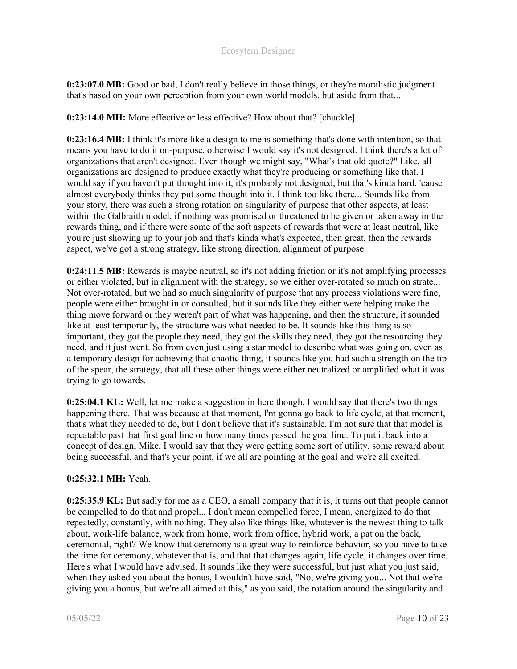0:23:07.0 MB: Good or bad, I don't really believe in those things, or they're moralistic judgment that's based on your own perception from your own world models, but aside from that...

0:23:14.0 MH: More effective or less effective? How about that? [chuckle]

0:23:16.4 MB: I think it's more like a design to me is something that's done with intention, so that means you have to do it on-purpose, otherwise I would say it's not designed. I think there's a lot of organizations that aren't designed. Even though we might say, "What's that old quote?" Like, all organizations are designed to produce exactly what they're producing or something like that. I would say if you haven't put thought into it, it's probably not designed, but that's kinda hard, 'cause almost everybody thinks they put some thought into it. I think too like there... Sounds like from your story, there was such a strong rotation on singularity of purpose that other aspects, at least within the Galbraith model, if nothing was promised or threatened to be given or taken away in the rewards thing, and if there were some of the soft aspects of rewards that were at least neutral, like you're just showing up to your job and that's kinda what's expected, then great, then the rewards aspect, we've got a strong strategy, like strong direction, alignment of purpose.

0:24:11.5 MB: Rewards is maybe neutral, so it's not adding friction or it's not amplifying processes or either violated, but in alignment with the strategy, so we either over-rotated so much on strate... Not over-rotated, but we had so much singularity of purpose that any process violations were fine, people were either brought in or consulted, but it sounds like they either were helping make the thing move forward or they weren't part of what was happening, and then the structure, it sounded like at least temporarily, the structure was what needed to be. It sounds like this thing is so important, they got the people they need, they got the skills they need, they got the resourcing they need, and it just went. So from even just using a star model to describe what was going on, even as a temporary design for achieving that chaotic thing, it sounds like you had such a strength on the tip of the spear, the strategy, that all these other things were either neutralized or amplified what it was trying to go towards.

0:25:04.1 KL: Well, let me make a suggestion in here though, I would say that there's two things happening there. That was because at that moment, I'm gonna go back to life cycle, at that moment, that's what they needed to do, but I don't believe that it's sustainable. I'm not sure that that model is repeatable past that first goal line or how many times passed the goal line. To put it back into a concept of design, Mike, I would say that they were getting some sort of utility, some reward about being successful, and that's your point, if we all are pointing at the goal and we're all excited.

#### 0:25:32.1 MH: Yeah.

0:25:35.9 KL: But sadly for me as a CEO, a small company that it is, it turns out that people cannot be compelled to do that and propel... I don't mean compelled force, I mean, energized to do that repeatedly, constantly, with nothing. They also like things like, whatever is the newest thing to talk about, work-life balance, work from home, work from office, hybrid work, a pat on the back, ceremonial, right? We know that ceremony is a great way to reinforce behavior, so you have to take the time for ceremony, whatever that is, and that that changes again, life cycle, it changes over time. Here's what I would have advised. It sounds like they were successful, but just what you just said, when they asked you about the bonus, I wouldn't have said, "No, we're giving you... Not that we're giving you a bonus, but we're all aimed at this," as you said, the rotation around the singularity and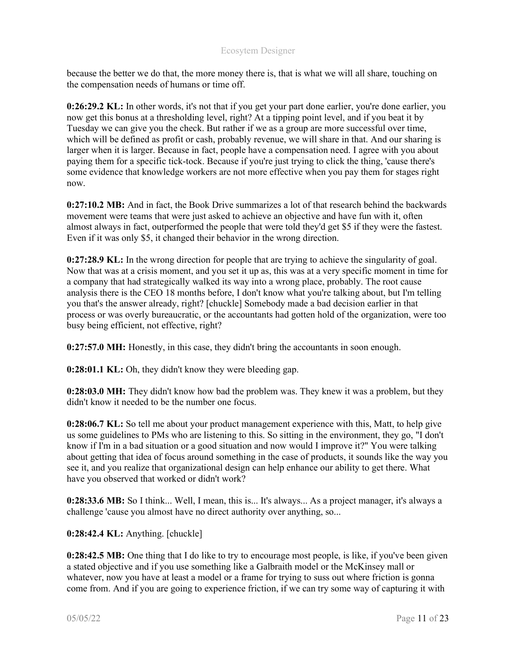because the better we do that, the more money there is, that is what we will all share, touching on the compensation needs of humans or time off.

0:26:29.2 KL: In other words, it's not that if you get your part done earlier, you're done earlier, you now get this bonus at a thresholding level, right? At a tipping point level, and if you beat it by Tuesday we can give you the check. But rather if we as a group are more successful over time, which will be defined as profit or cash, probably revenue, we will share in that. And our sharing is larger when it is larger. Because in fact, people have a compensation need. I agree with you about paying them for a specific tick-tock. Because if you're just trying to click the thing, 'cause there's some evidence that knowledge workers are not more effective when you pay them for stages right now.

0:27:10.2 MB: And in fact, the Book Drive summarizes a lot of that research behind the backwards movement were teams that were just asked to achieve an objective and have fun with it, often almost always in fact, outperformed the people that were told they'd get \$5 if they were the fastest. Even if it was only \$5, it changed their behavior in the wrong direction.

0:27:28.9 KL: In the wrong direction for people that are trying to achieve the singularity of goal. Now that was at a crisis moment, and you set it up as, this was at a very specific moment in time for a company that had strategically walked its way into a wrong place, probably. The root cause analysis there is the CEO 18 months before, I don't know what you're talking about, but I'm telling you that's the answer already, right? [chuckle] Somebody made a bad decision earlier in that process or was overly bureaucratic, or the accountants had gotten hold of the organization, were too busy being efficient, not effective, right?

0:27:57.0 MH: Honestly, in this case, they didn't bring the accountants in soon enough.

0:28:01.1 KL: Oh, they didn't know they were bleeding gap.

0:28:03.0 MH: They didn't know how bad the problem was. They knew it was a problem, but they didn't know it needed to be the number one focus.

0:28:06.7 KL: So tell me about your product management experience with this, Matt, to help give us some guidelines to PMs who are listening to this. So sitting in the environment, they go, "I don't know if I'm in a bad situation or a good situation and now would I improve it?" You were talking about getting that idea of focus around something in the case of products, it sounds like the way you see it, and you realize that organizational design can help enhance our ability to get there. What have you observed that worked or didn't work?

0:28:33.6 MB: So I think... Well, I mean, this is... It's always... As a project manager, it's always a challenge 'cause you almost have no direct authority over anything, so...

0:28:42.4 KL: Anything. [chuckle]

0:28:42.5 MB: One thing that I do like to try to encourage most people, is like, if you've been given a stated objective and if you use something like a Galbraith model or the McKinsey mall or whatever, now you have at least a model or a frame for trying to suss out where friction is gonna come from. And if you are going to experience friction, if we can try some way of capturing it with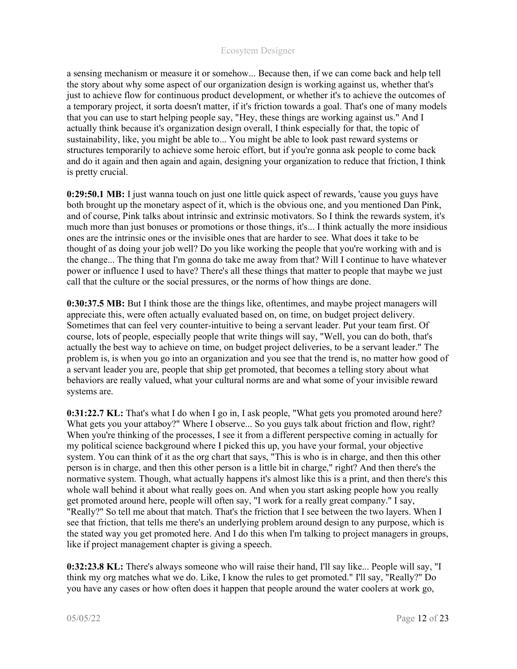a sensing mechanism or measure it or somehow... Because then, if we can come back and help tell the story about why some aspect of our organization design is working against us, whether that's just to achieve flow for continuous product development, or whether it's to achieve the outcomes of a temporary project, it sorta doesn't matter, if it's friction towards a goal. That's one of many models that you can use to start helping people say, "Hey, these things are working against us." And I actually think because it's organization design overall, I think especially for that, the topic of sustainability, like, you might be able to... You might be able to look past reward systems or structures temporarily to achieve some heroic effort, but if you're gonna ask people to come back and do it again and then again and again, designing your organization to reduce that friction, I think is pretty crucial.

0:29:50.1 MB: I just wanna touch on just one little quick aspect of rewards, 'cause you guys have both brought up the monetary aspect of it, which is the obvious one, and you mentioned Dan Pink, and of course, Pink talks about intrinsic and extrinsic motivators. So I think the rewards system, it's much more than just bonuses or promotions or those things, it's... I think actually the more insidious ones are the intrinsic ones or the invisible ones that are harder to see. What does it take to be thought of as doing your job well? Do you like working the people that you're working with and is the change... The thing that I'm gonna do take me away from that? Will I continue to have whatever power or influence I used to have? There's all these things that matter to people that maybe we just call that the culture or the social pressures, or the norms of how things are done.

0:30:37.5 MB: But I think those are the things like, oftentimes, and maybe project managers will appreciate this, were often actually evaluated based on, on time, on budget project delivery. Sometimes that can feel very counter-intuitive to being a servant leader. Put your team first. Of course, lots of people, especially people that write things will say, "Well, you can do both, that's actually the best way to achieve on time, on budget project deliveries, to be a servant leader." The problem is, is when you go into an organization and you see that the trend is, no matter how good of a servant leader you are, people that ship get promoted, that becomes a telling story about what behaviors are really valued, what your cultural norms are and what some of your invisible reward systems are.

0:31:22.7 KL: That's what I do when I go in, I ask people, "What gets you promoted around here? What gets you your attaboy?" Where I observe... So you guys talk about friction and flow, right? When you're thinking of the processes, I see it from a different perspective coming in actually for my political science background where I picked this up, you have your formal, your objective system. You can think of it as the org chart that says, "This is who is in charge, and then this other person is in charge, and then this other person is a little bit in charge," right? And then there's the normative system. Though, what actually happens it's almost like this is a print, and then there's this whole wall behind it about what really goes on. And when you start asking people how you really get promoted around here, people will often say, "I work for a really great company." I say, "Really?" So tell me about that match. That's the friction that I see between the two layers. When I see that friction, that tells me there's an underlying problem around design to any purpose, which is the stated way you get promoted here. And I do this when I'm talking to project managers in groups, like if project management chapter is giving a speech.

0:32:23.8 KL: There's always someone who will raise their hand, I'll say like... People will say, "I think my org matches what we do. Like, I know the rules to get promoted." I'll say, "Really?" Do you have any cases or how often does it happen that people around the water coolers at work go,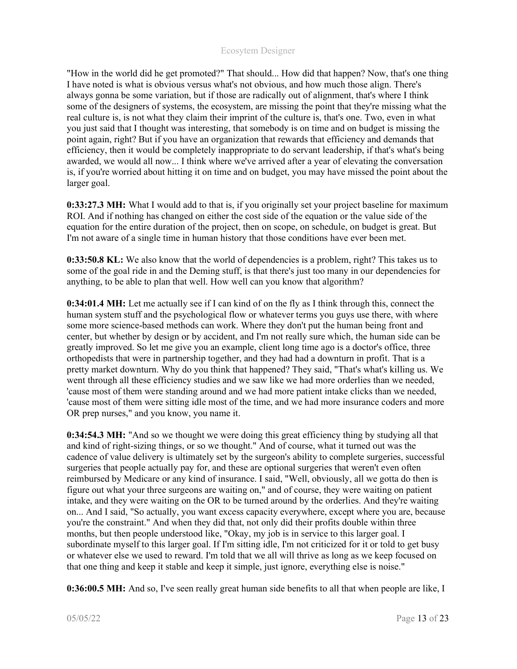"How in the world did he get promoted?" That should... How did that happen? Now, that's one thing I have noted is what is obvious versus what's not obvious, and how much those align. There's always gonna be some variation, but if those are radically out of alignment, that's where I think some of the designers of systems, the ecosystem, are missing the point that they're missing what the real culture is, is not what they claim their imprint of the culture is, that's one. Two, even in what you just said that I thought was interesting, that somebody is on time and on budget is missing the point again, right? But if you have an organization that rewards that efficiency and demands that efficiency, then it would be completely inappropriate to do servant leadership, if that's what's being awarded, we would all now... I think where we've arrived after a year of elevating the conversation is, if you're worried about hitting it on time and on budget, you may have missed the point about the larger goal.

0:33:27.3 MH: What I would add to that is, if you originally set your project baseline for maximum ROI. And if nothing has changed on either the cost side of the equation or the value side of the equation for the entire duration of the project, then on scope, on schedule, on budget is great. But I'm not aware of a single time in human history that those conditions have ever been met.

0:33:50.8 KL: We also know that the world of dependencies is a problem, right? This takes us to some of the goal ride in and the Deming stuff, is that there's just too many in our dependencies for anything, to be able to plan that well. How well can you know that algorithm?

0:34:01.4 MH: Let me actually see if I can kind of on the fly as I think through this, connect the human system stuff and the psychological flow or whatever terms you guys use there, with where some more science-based methods can work. Where they don't put the human being front and center, but whether by design or by accident, and I'm not really sure which, the human side can be greatly improved. So let me give you an example, client long time ago is a doctor's office, three orthopedists that were in partnership together, and they had had a downturn in profit. That is a pretty market downturn. Why do you think that happened? They said, "That's what's killing us. We went through all these efficiency studies and we saw like we had more orderlies than we needed, 'cause most of them were standing around and we had more patient intake clicks than we needed, 'cause most of them were sitting idle most of the time, and we had more insurance coders and more OR prep nurses," and you know, you name it.

0:34:54.3 MH: "And so we thought we were doing this great efficiency thing by studying all that and kind of right-sizing things, or so we thought." And of course, what it turned out was the cadence of value delivery is ultimately set by the surgeon's ability to complete surgeries, successful surgeries that people actually pay for, and these are optional surgeries that weren't even often reimbursed by Medicare or any kind of insurance. I said, "Well, obviously, all we gotta do then is figure out what your three surgeons are waiting on," and of course, they were waiting on patient intake, and they were waiting on the OR to be turned around by the orderlies. And they're waiting on... And I said, "So actually, you want excess capacity everywhere, except where you are, because you're the constraint." And when they did that, not only did their profits double within three months, but then people understood like, "Okay, my job is in service to this larger goal. I subordinate myself to this larger goal. If I'm sitting idle, I'm not criticized for it or told to get busy or whatever else we used to reward. I'm told that we all will thrive as long as we keep focused on that one thing and keep it stable and keep it simple, just ignore, everything else is noise."

0:36:00.5 MH: And so, I've seen really great human side benefits to all that when people are like, I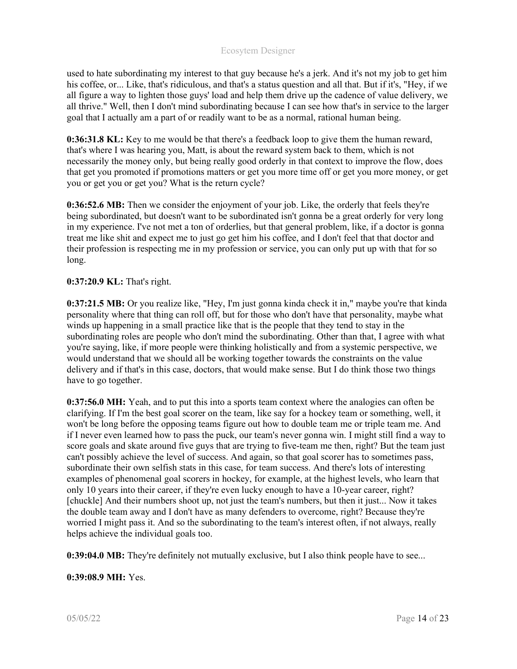used to hate subordinating my interest to that guy because he's a jerk. And it's not my job to get him his coffee, or... Like, that's ridiculous, and that's a status question and all that. But if it's, "Hey, if we all figure a way to lighten those guys' load and help them drive up the cadence of value delivery, we all thrive." Well, then I don't mind subordinating because I can see how that's in service to the larger goal that I actually am a part of or readily want to be as a normal, rational human being.

0:36:31.8 KL: Key to me would be that there's a feedback loop to give them the human reward, that's where I was hearing you, Matt, is about the reward system back to them, which is not necessarily the money only, but being really good orderly in that context to improve the flow, does that get you promoted if promotions matters or get you more time off or get you more money, or get you or get you or get you? What is the return cycle?

0:36:52.6 MB: Then we consider the enjoyment of your job. Like, the orderly that feels they're being subordinated, but doesn't want to be subordinated isn't gonna be a great orderly for very long in my experience. I've not met a ton of orderlies, but that general problem, like, if a doctor is gonna treat me like shit and expect me to just go get him his coffee, and I don't feel that that doctor and their profession is respecting me in my profession or service, you can only put up with that for so long.

## 0:37:20.9 KL: That's right.

0:37:21.5 MB: Or you realize like, "Hey, I'm just gonna kinda check it in," maybe you're that kinda personality where that thing can roll off, but for those who don't have that personality, maybe what winds up happening in a small practice like that is the people that they tend to stay in the subordinating roles are people who don't mind the subordinating. Other than that, I agree with what you're saying, like, if more people were thinking holistically and from a systemic perspective, we would understand that we should all be working together towards the constraints on the value delivery and if that's in this case, doctors, that would make sense. But I do think those two things have to go together.

0:37:56.0 MH: Yeah, and to put this into a sports team context where the analogies can often be clarifying. If I'm the best goal scorer on the team, like say for a hockey team or something, well, it won't be long before the opposing teams figure out how to double team me or triple team me. And if I never even learned how to pass the puck, our team's never gonna win. I might still find a way to score goals and skate around five guys that are trying to five-team me then, right? But the team just can't possibly achieve the level of success. And again, so that goal scorer has to sometimes pass, subordinate their own selfish stats in this case, for team success. And there's lots of interesting examples of phenomenal goal scorers in hockey, for example, at the highest levels, who learn that only 10 years into their career, if they're even lucky enough to have a 10-year career, right? [chuckle] And their numbers shoot up, not just the team's numbers, but then it just... Now it takes the double team away and I don't have as many defenders to overcome, right? Because they're worried I might pass it. And so the subordinating to the team's interest often, if not always, really helps achieve the individual goals too.

0:39:04.0 MB: They're definitely not mutually exclusive, but I also think people have to see...

0:39:08.9 MH: Yes.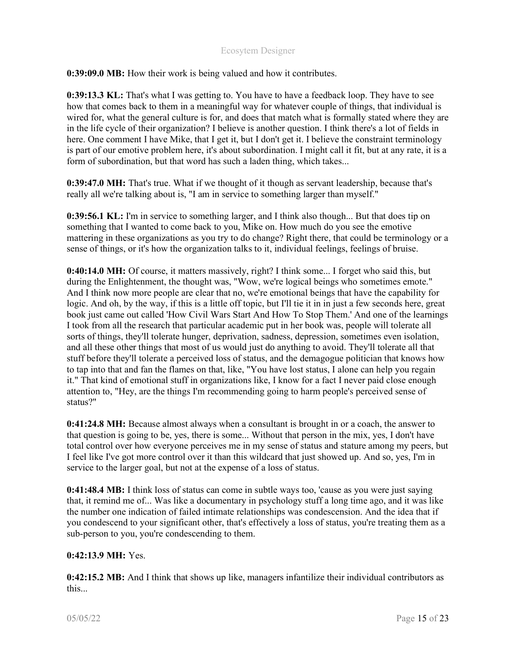0:39:09.0 MB: How their work is being valued and how it contributes.

0:39:13.3 KL: That's what I was getting to. You have to have a feedback loop. They have to see how that comes back to them in a meaningful way for whatever couple of things, that individual is wired for, what the general culture is for, and does that match what is formally stated where they are in the life cycle of their organization? I believe is another question. I think there's a lot of fields in here. One comment I have Mike, that I get it, but I don't get it. I believe the constraint terminology is part of our emotive problem here, it's about subordination. I might call it fit, but at any rate, it is a form of subordination, but that word has such a laden thing, which takes...

0:39:47.0 MH: That's true. What if we thought of it though as servant leadership, because that's really all we're talking about is, "I am in service to something larger than myself."

0:39:56.1 KL: I'm in service to something larger, and I think also though... But that does tip on something that I wanted to come back to you, Mike on. How much do you see the emotive mattering in these organizations as you try to do change? Right there, that could be terminology or a sense of things, or it's how the organization talks to it, individual feelings, feelings of bruise.

0:40:14.0 MH: Of course, it matters massively, right? I think some... I forget who said this, but during the Enlightenment, the thought was, "Wow, we're logical beings who sometimes emote." And I think now more people are clear that no, we're emotional beings that have the capability for logic. And oh, by the way, if this is a little off topic, but I'll tie it in in just a few seconds here, great book just came out called 'How Civil Wars Start And How To Stop Them.' And one of the learnings I took from all the research that particular academic put in her book was, people will tolerate all sorts of things, they'll tolerate hunger, deprivation, sadness, depression, sometimes even isolation, and all these other things that most of us would just do anything to avoid. They'll tolerate all that stuff before they'll tolerate a perceived loss of status, and the demagogue politician that knows how to tap into that and fan the flames on that, like, "You have lost status, I alone can help you regain it." That kind of emotional stuff in organizations like, I know for a fact I never paid close enough attention to, "Hey, are the things I'm recommending going to harm people's perceived sense of status?"

0:41:24.8 MH: Because almost always when a consultant is brought in or a coach, the answer to that question is going to be, yes, there is some... Without that person in the mix, yes, I don't have total control over how everyone perceives me in my sense of status and stature among my peers, but I feel like I've got more control over it than this wildcard that just showed up. And so, yes, I'm in service to the larger goal, but not at the expense of a loss of status.

0:41:48.4 MB: I think loss of status can come in subtle ways too, 'cause as you were just saying that, it remind me of... Was like a documentary in psychology stuff a long time ago, and it was like the number one indication of failed intimate relationships was condescension. And the idea that if you condescend to your significant other, that's effectively a loss of status, you're treating them as a sub-person to you, you're condescending to them.

#### 0:42:13.9 MH: Yes.

0:42:15.2 MB: And I think that shows up like, managers infantilize their individual contributors as this...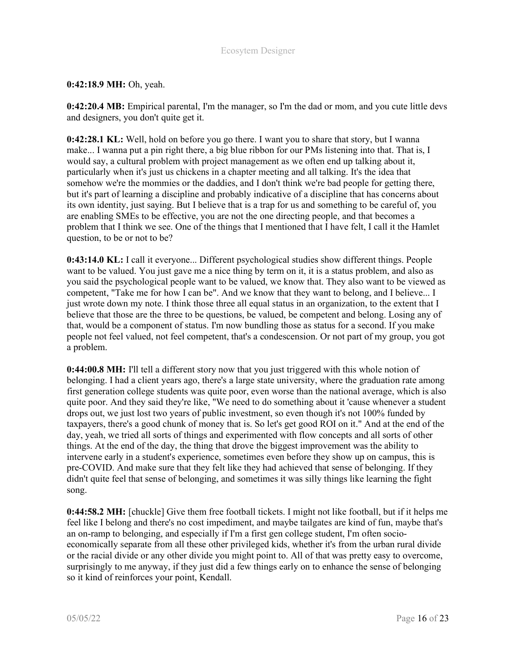# 0:42:18.9 MH: Oh, yeah.

0:42:20.4 MB: Empirical parental, I'm the manager, so I'm the dad or mom, and you cute little devs and designers, you don't quite get it.

0:42:28.1 KL: Well, hold on before you go there. I want you to share that story, but I wanna make... I wanna put a pin right there, a big blue ribbon for our PMs listening into that. That is, I would say, a cultural problem with project management as we often end up talking about it, particularly when it's just us chickens in a chapter meeting and all talking. It's the idea that somehow we're the mommies or the daddies, and I don't think we're bad people for getting there, but it's part of learning a discipline and probably indicative of a discipline that has concerns about its own identity, just saying. But I believe that is a trap for us and something to be careful of, you are enabling SMEs to be effective, you are not the one directing people, and that becomes a problem that I think we see. One of the things that I mentioned that I have felt, I call it the Hamlet question, to be or not to be?

0:43:14.0 KL: I call it everyone... Different psychological studies show different things. People want to be valued. You just gave me a nice thing by term on it, it is a status problem, and also as you said the psychological people want to be valued, we know that. They also want to be viewed as competent, "Take me for how I can be". And we know that they want to belong, and I believe... I just wrote down my note. I think those three all equal status in an organization, to the extent that I believe that those are the three to be questions, be valued, be competent and belong. Losing any of that, would be a component of status. I'm now bundling those as status for a second. If you make people not feel valued, not feel competent, that's a condescension. Or not part of my group, you got a problem.

0:44:00.8 MH: I'll tell a different story now that you just triggered with this whole notion of belonging. I had a client years ago, there's a large state university, where the graduation rate among first generation college students was quite poor, even worse than the national average, which is also quite poor. And they said they're like, "We need to do something about it 'cause whenever a student drops out, we just lost two years of public investment, so even though it's not 100% funded by taxpayers, there's a good chunk of money that is. So let's get good ROI on it." And at the end of the day, yeah, we tried all sorts of things and experimented with flow concepts and all sorts of other things. At the end of the day, the thing that drove the biggest improvement was the ability to intervene early in a student's experience, sometimes even before they show up on campus, this is pre-COVID. And make sure that they felt like they had achieved that sense of belonging. If they didn't quite feel that sense of belonging, and sometimes it was silly things like learning the fight song.

0:44:58.2 MH: [chuckle] Give them free football tickets. I might not like football, but if it helps me feel like I belong and there's no cost impediment, and maybe tailgates are kind of fun, maybe that's an on-ramp to belonging, and especially if I'm a first gen college student, I'm often socioeconomically separate from all these other privileged kids, whether it's from the urban rural divide or the racial divide or any other divide you might point to. All of that was pretty easy to overcome, surprisingly to me anyway, if they just did a few things early on to enhance the sense of belonging so it kind of reinforces your point, Kendall.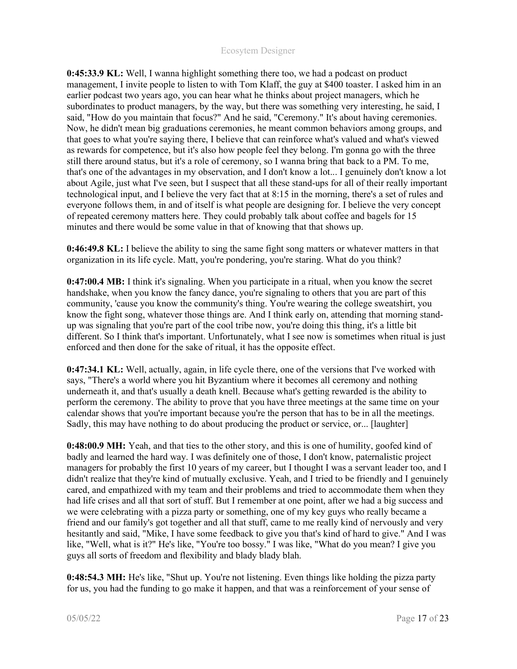0:45:33.9 KL: Well, I wanna highlight something there too, we had a podcast on product management, I invite people to listen to with Tom Klaff, the guy at \$400 toaster. I asked him in an earlier podcast two years ago, you can hear what he thinks about project managers, which he subordinates to product managers, by the way, but there was something very interesting, he said, I said, "How do you maintain that focus?" And he said, "Ceremony." It's about having ceremonies. Now, he didn't mean big graduations ceremonies, he meant common behaviors among groups, and that goes to what you're saying there, I believe that can reinforce what's valued and what's viewed as rewards for competence, but it's also how people feel they belong. I'm gonna go with the three still there around status, but it's a role of ceremony, so I wanna bring that back to a PM. To me, that's one of the advantages in my observation, and I don't know a lot... I genuinely don't know a lot about Agile, just what I've seen, but I suspect that all these stand-ups for all of their really important technological input, and I believe the very fact that at 8:15 in the morning, there's a set of rules and everyone follows them, in and of itself is what people are designing for. I believe the very concept of repeated ceremony matters here. They could probably talk about coffee and bagels for 15 minutes and there would be some value in that of knowing that that shows up.

0:46:49.8 KL: I believe the ability to sing the same fight song matters or whatever matters in that organization in its life cycle. Matt, you're pondering, you're staring. What do you think?

0:47:00.4 MB: I think it's signaling. When you participate in a ritual, when you know the secret handshake, when you know the fancy dance, you're signaling to others that you are part of this community, 'cause you know the community's thing. You're wearing the college sweatshirt, you know the fight song, whatever those things are. And I think early on, attending that morning standup was signaling that you're part of the cool tribe now, you're doing this thing, it's a little bit different. So I think that's important. Unfortunately, what I see now is sometimes when ritual is just enforced and then done for the sake of ritual, it has the opposite effect.

0:47:34.1 KL: Well, actually, again, in life cycle there, one of the versions that I've worked with says, "There's a world where you hit Byzantium where it becomes all ceremony and nothing underneath it, and that's usually a death knell. Because what's getting rewarded is the ability to perform the ceremony. The ability to prove that you have three meetings at the same time on your calendar shows that you're important because you're the person that has to be in all the meetings. Sadly, this may have nothing to do about producing the product or service, or... [laughter]

0:48:00.9 MH: Yeah, and that ties to the other story, and this is one of humility, goofed kind of badly and learned the hard way. I was definitely one of those, I don't know, paternalistic project managers for probably the first 10 years of my career, but I thought I was a servant leader too, and I didn't realize that they're kind of mutually exclusive. Yeah, and I tried to be friendly and I genuinely cared, and empathized with my team and their problems and tried to accommodate them when they had life crises and all that sort of stuff. But I remember at one point, after we had a big success and we were celebrating with a pizza party or something, one of my key guys who really became a friend and our family's got together and all that stuff, came to me really kind of nervously and very hesitantly and said, "Mike, I have some feedback to give you that's kind of hard to give." And I was like, "Well, what is it?" He's like, "You're too bossy." I was like, "What do you mean? I give you guys all sorts of freedom and flexibility and blady blady blah.

0:48:54.3 MH: He's like, "Shut up. You're not listening. Even things like holding the pizza party for us, you had the funding to go make it happen, and that was a reinforcement of your sense of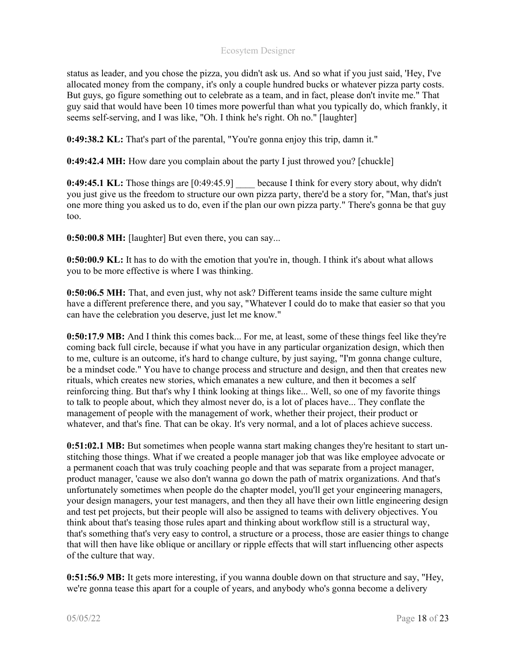status as leader, and you chose the pizza, you didn't ask us. And so what if you just said, 'Hey, I've allocated money from the company, it's only a couple hundred bucks or whatever pizza party costs. But guys, go figure something out to celebrate as a team, and in fact, please don't invite me." That guy said that would have been 10 times more powerful than what you typically do, which frankly, it seems self-serving, and I was like, "Oh. I think he's right. Oh no." [laughter]

0:49:38.2 KL: That's part of the parental, "You're gonna enjoy this trip, damn it."

0:49:42.4 MH: How dare you complain about the party I just throwed you? [chuckle]

**0:49:45.1 KL:** Those things are [0:49:45.9] because I think for every story about, why didn't you just give us the freedom to structure our own pizza party, there'd be a story for, "Man, that's just one more thing you asked us to do, even if the plan our own pizza party." There's gonna be that guy too.

0:50:00.8 MH: [laughter] But even there, you can say...

0:50:00.9 KL: It has to do with the emotion that you're in, though. I think it's about what allows you to be more effective is where I was thinking.

0:50:06.5 MH: That, and even just, why not ask? Different teams inside the same culture might have a different preference there, and you say, "Whatever I could do to make that easier so that you can have the celebration you deserve, just let me know."

0:50:17.9 MB: And I think this comes back... For me, at least, some of these things feel like they're coming back full circle, because if what you have in any particular organization design, which then to me, culture is an outcome, it's hard to change culture, by just saying, "I'm gonna change culture, be a mindset code." You have to change process and structure and design, and then that creates new rituals, which creates new stories, which emanates a new culture, and then it becomes a self reinforcing thing. But that's why I think looking at things like... Well, so one of my favorite things to talk to people about, which they almost never do, is a lot of places have... They conflate the management of people with the management of work, whether their project, their product or whatever, and that's fine. That can be okay. It's very normal, and a lot of places achieve success.

0:51:02.1 MB: But sometimes when people wanna start making changes they're hesitant to start unstitching those things. What if we created a people manager job that was like employee advocate or a permanent coach that was truly coaching people and that was separate from a project manager, product manager, 'cause we also don't wanna go down the path of matrix organizations. And that's unfortunately sometimes when people do the chapter model, you'll get your engineering managers, your design managers, your test managers, and then they all have their own little engineering design and test pet projects, but their people will also be assigned to teams with delivery objectives. You think about that's teasing those rules apart and thinking about workflow still is a structural way, that's something that's very easy to control, a structure or a process, those are easier things to change that will then have like oblique or ancillary or ripple effects that will start influencing other aspects of the culture that way.

0:51:56.9 MB: It gets more interesting, if you wanna double down on that structure and say, "Hey, we're gonna tease this apart for a couple of years, and anybody who's gonna become a delivery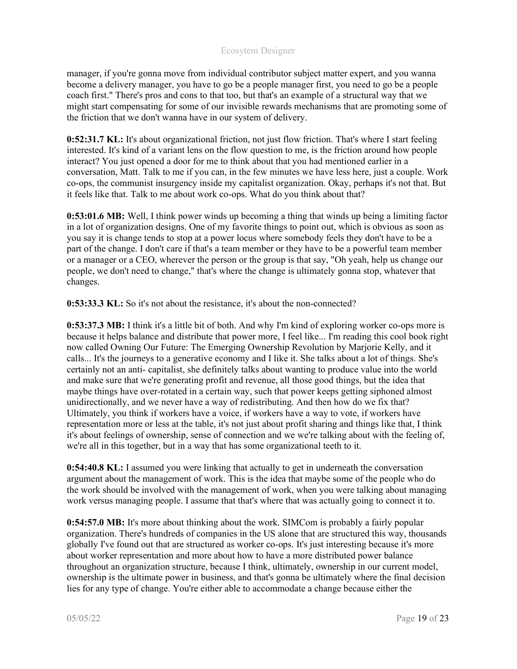manager, if you're gonna move from individual contributor subject matter expert, and you wanna become a delivery manager, you have to go be a people manager first, you need to go be a people coach first." There's pros and cons to that too, but that's an example of a structural way that we might start compensating for some of our invisible rewards mechanisms that are promoting some of the friction that we don't wanna have in our system of delivery.

0:52:31.7 KL: It's about organizational friction, not just flow friction. That's where I start feeling interested. It's kind of a variant lens on the flow question to me, is the friction around how people interact? You just opened a door for me to think about that you had mentioned earlier in a conversation, Matt. Talk to me if you can, in the few minutes we have less here, just a couple. Work co-ops, the communist insurgency inside my capitalist organization. Okay, perhaps it's not that. But it feels like that. Talk to me about work co-ops. What do you think about that?

0:53:01.6 MB: Well, I think power winds up becoming a thing that winds up being a limiting factor in a lot of organization designs. One of my favorite things to point out, which is obvious as soon as you say it is change tends to stop at a power locus where somebody feels they don't have to be a part of the change. I don't care if that's a team member or they have to be a powerful team member or a manager or a CEO, wherever the person or the group is that say, "Oh yeah, help us change our people, we don't need to change," that's where the change is ultimately gonna stop, whatever that changes.

0:53:33.3 KL: So it's not about the resistance, it's about the non-connected?

0:53:37.3 MB: I think it's a little bit of both. And why I'm kind of exploring worker co-ops more is because it helps balance and distribute that power more, I feel like... I'm reading this cool book right now called Owning Our Future: The Emerging Ownership Revolution by Marjorie Kelly, and it calls... It's the journeys to a generative economy and I like it. She talks about a lot of things. She's certainly not an anti- capitalist, she definitely talks about wanting to produce value into the world and make sure that we're generating profit and revenue, all those good things, but the idea that maybe things have over-rotated in a certain way, such that power keeps getting siphoned almost unidirectionally, and we never have a way of redistributing. And then how do we fix that? Ultimately, you think if workers have a voice, if workers have a way to vote, if workers have representation more or less at the table, it's not just about profit sharing and things like that, I think it's about feelings of ownership, sense of connection and we we're talking about with the feeling of, we're all in this together, but in a way that has some organizational teeth to it.

0:54:40.8 KL: I assumed you were linking that actually to get in underneath the conversation argument about the management of work. This is the idea that maybe some of the people who do the work should be involved with the management of work, when you were talking about managing work versus managing people. I assume that that's where that was actually going to connect it to.

0:54:57.0 MB: It's more about thinking about the work. SIMCom is probably a fairly popular organization. There's hundreds of companies in the US alone that are structured this way, thousands globally I've found out that are structured as worker co-ops. It's just interesting because it's more about worker representation and more about how to have a more distributed power balance throughout an organization structure, because I think, ultimately, ownership in our current model, ownership is the ultimate power in business, and that's gonna be ultimately where the final decision lies for any type of change. You're either able to accommodate a change because either the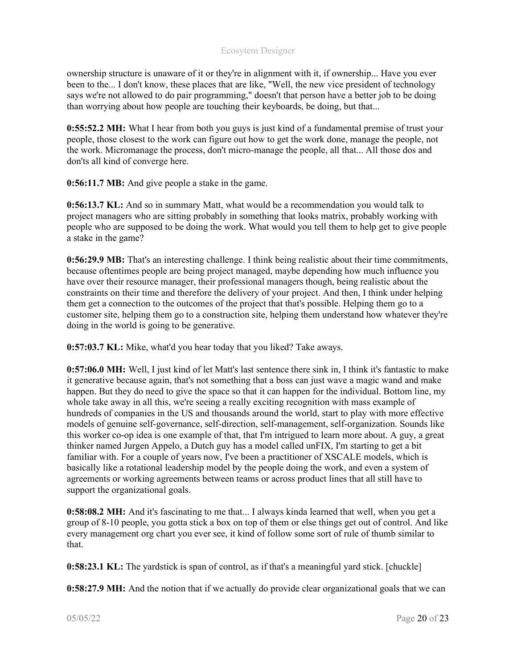ownership structure is unaware of it or they're in alignment with it, if ownership... Have you ever been to the... I don't know, these places that are like, "Well, the new vice president of technology says we're not allowed to do pair programming," doesn't that person have a better job to be doing than worrying about how people are touching their keyboards, be doing, but that...

0:55:52.2 MH: What I hear from both you guys is just kind of a fundamental premise of trust your people, those closest to the work can figure out how to get the work done, manage the people, not the work. Micromanage the process, don't micro-manage the people, all that... All those dos and don'ts all kind of converge here.

0:56:11.7 MB: And give people a stake in the game.

0:56:13.7 KL: And so in summary Matt, what would be a recommendation you would talk to project managers who are sitting probably in something that looks matrix, probably working with people who are supposed to be doing the work. What would you tell them to help get to give people a stake in the game?

0:56:29.9 MB: That's an interesting challenge. I think being realistic about their time commitments, because oftentimes people are being project managed, maybe depending how much influence you have over their resource manager, their professional managers though, being realistic about the constraints on their time and therefore the delivery of your project. And then, I think under helping them get a connection to the outcomes of the project that that's possible. Helping them go to a customer site, helping them go to a construction site, helping them understand how whatever they're doing in the world is going to be generative.

0:57:03.7 KL: Mike, what'd you hear today that you liked? Take aways.

0:57:06.0 MH: Well, I just kind of let Matt's last sentence there sink in, I think it's fantastic to make it generative because again, that's not something that a boss can just wave a magic wand and make happen. But they do need to give the space so that it can happen for the individual. Bottom line, my whole take away in all this, we're seeing a really exciting recognition with mass example of hundreds of companies in the US and thousands around the world, start to play with more effective models of genuine self-governance, self-direction, self-management, self-organization. Sounds like this worker co-op idea is one example of that, that I'm intrigued to learn more about. A guy, a great thinker named Jurgen Appelo, a Dutch guy has a model called unFIX, I'm starting to get a bit familiar with. For a couple of years now, I've been a practitioner of XSCALE models, which is basically like a rotational leadership model by the people doing the work, and even a system of agreements or working agreements between teams or across product lines that all still have to support the organizational goals.

0:58:08.2 MH: And it's fascinating to me that... I always kinda learned that well, when you get a group of 8-10 people, you gotta stick a box on top of them or else things get out of control. And like every management org chart you ever see, it kind of follow some sort of rule of thumb similar to that.

0:58:23.1 KL: The yardstick is span of control, as if that's a meaningful yard stick. [chuckle]

0:58:27.9 MH: And the notion that if we actually do provide clear organizational goals that we can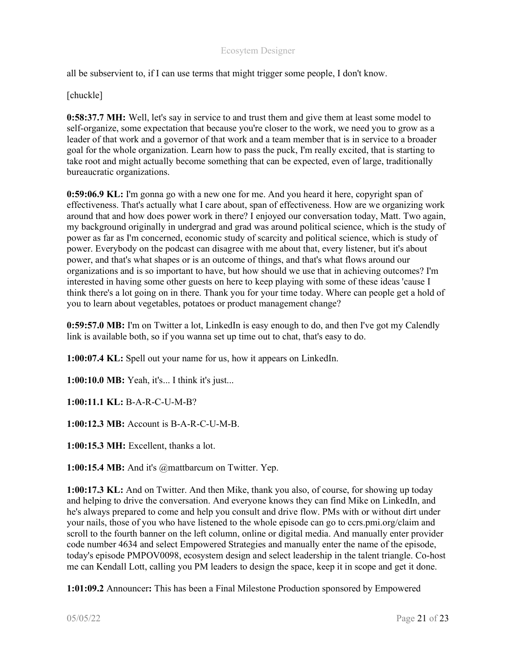all be subservient to, if I can use terms that might trigger some people, I don't know.

#### [chuckle]

0:58:37.7 MH: Well, let's say in service to and trust them and give them at least some model to self-organize, some expectation that because you're closer to the work, we need you to grow as a leader of that work and a governor of that work and a team member that is in service to a broader goal for the whole organization. Learn how to pass the puck, I'm really excited, that is starting to take root and might actually become something that can be expected, even of large, traditionally bureaucratic organizations.

0:59:06.9 KL: I'm gonna go with a new one for me. And you heard it here, copyright span of effectiveness. That's actually what I care about, span of effectiveness. How are we organizing work around that and how does power work in there? I enjoyed our conversation today, Matt. Two again, my background originally in undergrad and grad was around political science, which is the study of power as far as I'm concerned, economic study of scarcity and political science, which is study of power. Everybody on the podcast can disagree with me about that, every listener, but it's about power, and that's what shapes or is an outcome of things, and that's what flows around our organizations and is so important to have, but how should we use that in achieving outcomes? I'm interested in having some other guests on here to keep playing with some of these ideas 'cause I think there's a lot going on in there. Thank you for your time today. Where can people get a hold of you to learn about vegetables, potatoes or product management change?

0:59:57.0 MB: I'm on Twitter a lot, LinkedIn is easy enough to do, and then I've got my Calendly link is available both, so if you wanna set up time out to chat, that's easy to do.

1:00:07.4 KL: Spell out your name for us, how it appears on LinkedIn.

1:00:10.0 MB: Yeah, it's... I think it's just...

1:00:11.1 KL: B-A-R-C-U-M-B?

1:00:12.3 MB: Account is B-A-R-C-U-M-B.

1:00:15.3 MH: Excellent, thanks a lot.

1:00:15.4 MB: And it's @mattbarcum on Twitter. Yep.

1:00:17.3 KL: And on Twitter. And then Mike, thank you also, of course, for showing up today and helping to drive the conversation. And everyone knows they can find Mike on LinkedIn, and he's always prepared to come and help you consult and drive flow. PMs with or without dirt under your nails, those of you who have listened to the whole episode can go to ccrs.pmi.org/claim and scroll to the fourth banner on the left column, online or digital media. And manually enter provider code number 4634 and select Empowered Strategies and manually enter the name of the episode, today's episode PMPOV0098, ecosystem design and select leadership in the talent triangle. Co-host me can Kendall Lott, calling you PM leaders to design the space, keep it in scope and get it done.

1:01:09.2 Announcer: This has been a Final Milestone Production sponsored by Empowered